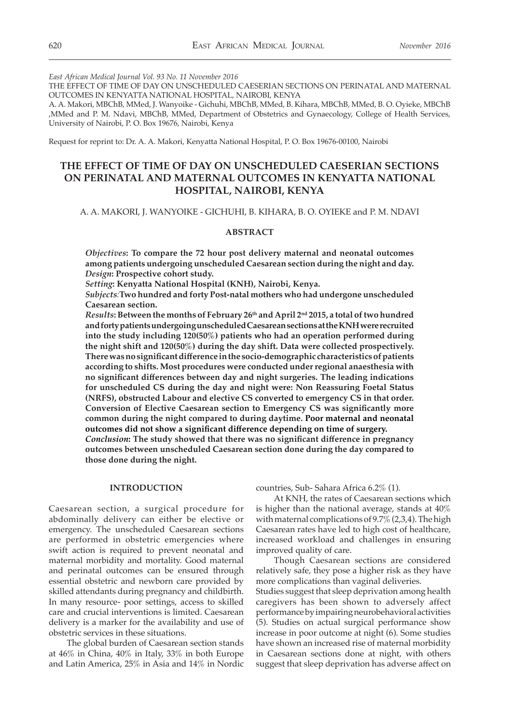*East African Medical Journal Vol. 93 No. 11 November 2016*

THE EFFECT OF TIME OF DAY ON UNSCHEDULED CAESERIAN SECTIONS ON PERINATAL AND MATERNAL OUTCOMES IN KENYATTA NATIONAL HOSPITAL, NAIROBI, KENYA

A. A. Makori, MBChB, MMed, J. Wanyoike - Gichuhi, MBChB, MMed, B. Kihara, MBChB, MMed, B. O. Oyieke, MBChB ,MMed and P. M. Ndavi, MBChB, MMed, Department of Obstetrics and Gynaecology, College of Health Services, University of Nairobi, P. O. Box 19676, Nairobi, Kenya

Request for reprint to: Dr. A. A. Makori, Kenyatta National Hospital, P. O. Box 19676-00100, Nairobi

# **THE EFFECT OF TIME OF DAY ON UNSCHEDULED CAESERIAN SECTIONS ON PERINATAL AND MATERNAL OUTCOMES IN KENYATTA NATIONAL HOSPITAL, NAIROBI, KENYA**

A. A. MAKORI, J. WANYOIKE - GICHUHI, B. KIHARA, B. O. OYIEKE and P. M. NDAVI

## **ABSTRACT**

*Objectives***: To compare the 72 hour post delivery maternal and neonatal outcomes among patients undergoing unscheduled Caesarean section during the night and day.**  *Design***: Prospective cohort study.**

*Setting***: Kenyatta National Hospital (KNH), Nairobi, Kenya.**

*Subjects:***Two hundred and forty Post-natal mothers who had undergone unscheduled Caesarean section.**

*Results***: Between the months of February 26th and April 2nd 2015, a total of two hundred and forty patients undergoing unscheduled Caesarean sections at the KNH were recruited into the study including 120(50%) patients who had an operation performed during the night shift and 120(50%) during the day shift. Data were collected prospectively. There was no significant difference in the socio-demographic characteristics of patients according to shifts. Most procedures were conducted under regional anaesthesia with no significant differences between day and night surgeries. The leading indications for unscheduled CS during the day and night were: Non Reassuring Foetal Status (NRFS), obstructed Labour and elective CS converted to emergency CS in that order. Conversion of Elective Caesarean section to Emergency CS was significantly more common during the night compared to during daytime. Poor maternal and neonatal outcomes did not show a significant difference depending on time of surgery.** *Conclusion***: The study showed that there was no significant difference in pregnancy outcomes between unscheduled Caesarean section done during the day compared to those done during the night.**

#### **INTRODUCTION**

Caesarean section, a surgical procedure for abdominally delivery can either be elective or emergency. The unscheduled Caesarean sections are performed in obstetric emergencies where swift action is required to prevent neonatal and maternal morbidity and mortality. Good maternal and perinatal outcomes can be ensured through essential obstetric and newborn care provided by skilled attendants during pregnancy and childbirth. In many resource- poor settings, access to skilled care and crucial interventions is limited. Caesarean delivery is a marker for the availability and use of obstetric services in these situations.

The global burden of Caesarean section stands at 46% in China, 40% in Italy, 33% in both Europe and Latin America, 25% in Asia and 14% in Nordic countries, Sub- Sahara Africa 6.2% (1).

At KNH, the rates of Caesarean sections which is higher than the national average, stands at 40% with maternal complications of 9.7% (2,3,4). The high Caesarean rates have led to high cost of healthcare, increased workload and challenges in ensuring improved quality of care.

Though Caesarean sections are considered relatively safe, they pose a higher risk as they have more complications than vaginal deliveries.

Studies suggest that sleep deprivation among health caregivers has been shown to adversely affect performance by impairing neurobehavioral activities (5). Studies on actual surgical performance show increase in poor outcome at night (6). Some studies have shown an increased rise of maternal morbidity in Caesarean sections done at night, with others suggest that sleep deprivation has adverse affect on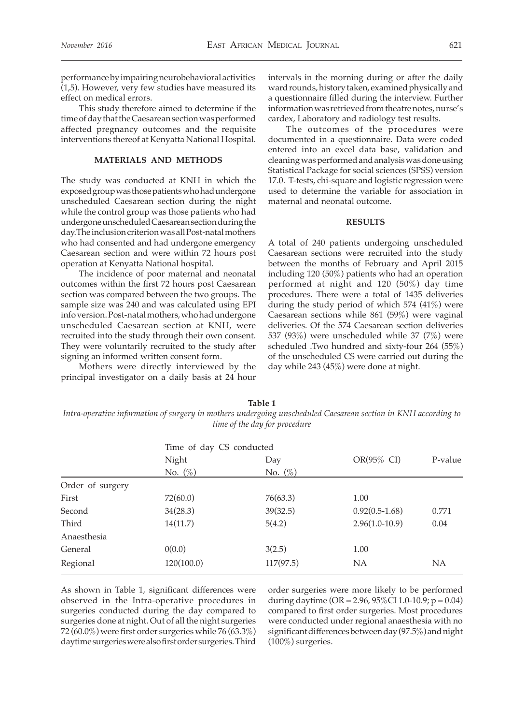performance by impairing neurobehavioral activities (1,5). However, very few studies have measured its effect on medical errors.

This study therefore aimed to determine if the time of day that the Caesarean section was performed affected pregnancy outcomes and the requisite interventions thereof at Kenyatta National Hospital.

### **MATERIALS AND METHODS**

The study was conducted at KNH in which the exposed group was those patients who had undergone unscheduled Caesarean section during the night while the control group was those patients who had undergone unscheduled Caesarean section during the day.The inclusion criterion was all Post-natal mothers who had consented and had undergone emergency Caesarean section and were within 72 hours post operation at Kenyatta National hospital.

The incidence of poor maternal and neonatal outcomes within the first 72 hours post Caesarean section was compared between the two groups. The sample size was 240 and was calculated using EPI info version. Post-natal mothers, who had undergone unscheduled Caesarean section at KNH, were recruited into the study through their own consent. They were voluntarily recruited to the study after signing an informed written consent form.

Mothers were directly interviewed by the principal investigator on a daily basis at 24 hour intervals in the morning during or after the daily ward rounds, history taken, examined physically and a questionnaire filled during the interview. Further information was retrieved from theatre notes, nurse's cardex, Laboratory and radiology test results.

The outcomes of the procedures were documented in a questionnaire. Data were coded entered into an excel data base, validation and cleaning was performed and analysis was done using Statistical Package for social sciences (SPSS) version 17.0. T-tests, chi-square and logistic regression were used to determine the variable for association in maternal and neonatal outcome.

#### **RESULTS**

A total of 240 patients undergoing unscheduled Caesarean sections were recruited into the study between the months of February and April 2015 including 120 (50%) patients who had an operation performed at night and 120 (50%) day time procedures. There were a total of 1435 deliveries during the study period of which 574 (41%) were Caesarean sections while 861 (59%) were vaginal deliveries. Of the 574 Caesarean section deliveries 537 (93%) were unscheduled while 37 (7%) were scheduled .Two hundred and sixty-four 264 (55%) of the unscheduled CS were carried out during the day while 243 (45%) were done at night.

**Table 1** *Intra-operative information of surgery in mothers undergoing unscheduled Caesarean section in KNH according to time of the day for procedure*

|                  | Time of day CS conducted |            |                  |           |  |
|------------------|--------------------------|------------|------------------|-----------|--|
|                  | Night                    | Day        | OR(95% CI)       | P-value   |  |
|                  | No. $(\%)$               | No. $(\%)$ |                  |           |  |
| Order of surgery |                          |            |                  |           |  |
| First            | 72(60.0)                 | 76(63.3)   | 1.00             |           |  |
| Second           | 34(28.3)                 | 39(32.5)   | $0.92(0.5-1.68)$ | 0.771     |  |
| Third            | 14(11.7)                 | 5(4.2)     | $2.96(1.0-10.9)$ | 0.04      |  |
| Anaesthesia      |                          |            |                  |           |  |
| General          | 0(0.0)                   | 3(2.5)     | 1.00             |           |  |
| Regional         | 120(100.0)               | 117(97.5)  | NA               | <b>NA</b> |  |

As shown in Table 1, significant differences were observed in the Intra-operative procedures in surgeries conducted during the day compared to surgeries done at night. Out of all the night surgeries 72 (60.0%) were first order surgeries while 76 (63.3%) daytime surgeries were also first order surgeries. Third

order surgeries were more likely to be performed during daytime (OR =  $2.96, 95\%$ CI 1.0-10.9; p = 0.04) compared to first order surgeries. Most procedures were conducted under regional anaesthesia with no significant differences between day (97.5%) and night (100%) surgeries.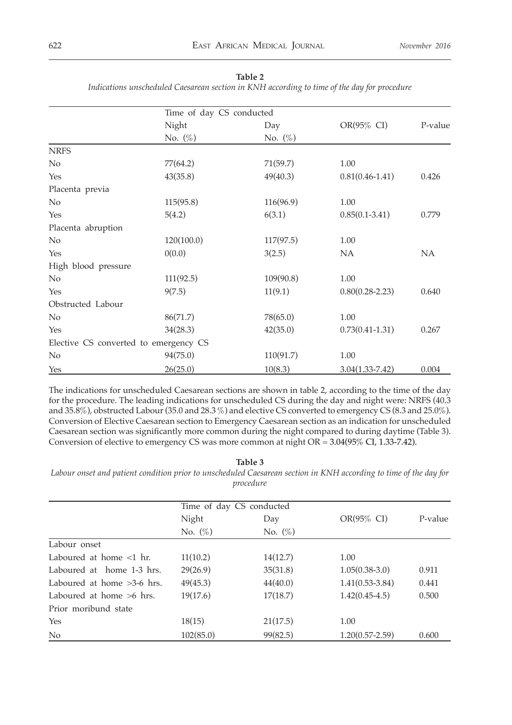|                     |                                       | Time of day CS conducted |                     |         |  |  |
|---------------------|---------------------------------------|--------------------------|---------------------|---------|--|--|
|                     | Night                                 | Day                      | $OR(95\% \ CI)$     | P-value |  |  |
|                     | No. $(\%)$                            | No. $(\%)$               |                     |         |  |  |
| <b>NRFS</b>         |                                       |                          |                     |         |  |  |
| No                  | 77(64.2)                              | 71(59.7)                 | 1.00                |         |  |  |
| Yes                 | 43(35.8)                              | 49(40.3)                 | $0.81(0.46 - 1.41)$ | 0.426   |  |  |
| Placenta previa     |                                       |                          |                     |         |  |  |
| No                  | 115(95.8)                             | 116(96.9)                | 1.00                |         |  |  |
| Yes                 | 5(4.2)                                | 6(3.1)                   | $0.85(0.1 - 3.41)$  | 0.779   |  |  |
| Placenta abruption  |                                       |                          |                     |         |  |  |
| No                  | 120(100.0)                            | 117(97.5)                | 1.00                |         |  |  |
| Yes                 | 0(0.0)                                | 3(2.5)                   | NA                  | NA      |  |  |
| High blood pressure |                                       |                          |                     |         |  |  |
| No                  | 111(92.5)                             | 109(90.8)                | 1.00                |         |  |  |
| Yes                 | 9(7.5)                                | 11(9.1)                  | $0.80(0.28 - 2.23)$ | 0.640   |  |  |
| Obstructed Labour   |                                       |                          |                     |         |  |  |
| $\rm No$            | 86(71.7)                              | 78(65.0)                 | 1.00                |         |  |  |
| Yes                 | 34(28.3)                              | 42(35.0)                 | $0.73(0.41 - 1.31)$ | 0.267   |  |  |
|                     | Elective CS converted to emergency CS |                          |                     |         |  |  |
| $\rm No$            | 94(75.0)                              | 110(91.7)                | 1.00                |         |  |  |
| Yes                 | 26(25.0)                              | 10(8.3)                  | $3.04(1.33 - 7.42)$ | 0.004   |  |  |

**Table 2**

*Indications unscheduled Caesarean section in KNH according to time of the day for procedure*

The indications for unscheduled Caesarean sections are shown in table 2, according to the time of the day for the procedure. The leading indications for unscheduled CS during the day and night were: NRFS (40.3 and 35.8%), obstructed Labour (35.0 and 28.3 %) and elective CS converted to emergency CS (8.3 and 25.0%). Conversion of Elective Caesarean section to Emergency Caesarean section as an indication for unscheduled Caesarean section was significantly more common during the night compared to during daytime (Table 3). Conversion of elective to emergency CS was more common at night OR = 3.04(95% CI, 1.33-7.42).

#### **Table 3**

*Labour onset and patient condition prior to unscheduled Caesarean section in KNH according to time of the day for procedure*

|                              | Time of day CS conducted |            |                     |         |  |
|------------------------------|--------------------------|------------|---------------------|---------|--|
|                              | Night                    | Day        | OR(95% CI)          | P-value |  |
|                              | No. $(\%)$               | No. $(\%)$ |                     |         |  |
| Labour onset                 |                          |            |                     |         |  |
| Laboured at home $\lt 1$ hr. | 11(10.2)                 | 14(12.7)   | 1.00                |         |  |
| Laboured at home 1-3 hrs.    | 29(26.9)                 | 35(31.8)   | $1.05(0.38-3.0)$    | 0.911   |  |
| Laboured at home $>3-6$ hrs. | 49(45.3)                 | 44(40.0)   | $1.41(0.53 - 3.84)$ | 0.441   |  |
| Laboured at home $>6$ hrs.   | 19(17.6)                 | 17(18.7)   | $1.42(0.45-4.5)$    | 0.500   |  |
| Prior moribund state         |                          |            |                     |         |  |
| Yes                          | 18(15)                   | 21(17.5)   | 1.00                |         |  |
| No                           | 102(85.0)                | 99(82.5)   | $1.20(0.57 - 2.59)$ | 0.600   |  |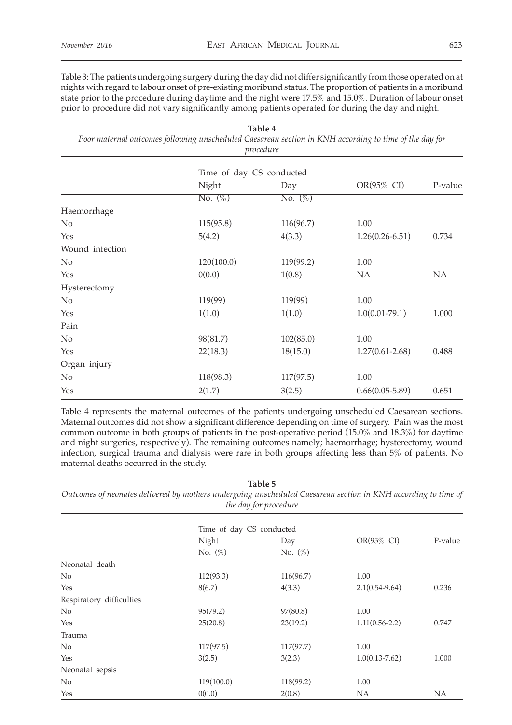Table 3: The patients undergoing surgery during the day did not differ significantly from those operated on at nights with regard to labour onset of pre-existing moribund status. The proportion of patients in a moribund state prior to the procedure during daytime and the night were 17.5% and 15.0%. Duration of labour onset prior to procedure did not vary significantly among patients operated for during the day and night.

| Table 4                                                                                                |  |  |  |
|--------------------------------------------------------------------------------------------------------|--|--|--|
| Poor maternal outcomes following unscheduled Caesarean section in KNH according to time of the day for |  |  |  |
| procedure                                                                                              |  |  |  |

|                 | Time of day CS conducted |            |                     |         |
|-----------------|--------------------------|------------|---------------------|---------|
|                 | Night                    | Day        | $OR(95\% \ CI)$     | P-value |
|                 | No. $(\%)$               | No. $(\%)$ |                     |         |
| Haemorrhage     |                          |            |                     |         |
| No              | 115(95.8)                | 116(96.7)  | 1.00                |         |
| Yes             | 5(4.2)                   | 4(3.3)     | $1.26(0.26 - 6.51)$ | 0.734   |
| Wound infection |                          |            |                     |         |
| No              | 120(100.0)               | 119(99.2)  | 1.00                |         |
| Yes             | 0(0.0)                   | 1(0.8)     | NA                  | NA      |
| Hysterectomy    |                          |            |                     |         |
| No              | 119(99)                  | 119(99)    | 1.00                |         |
| Yes             | 1(1.0)                   | 1(1.0)     | $1.0(0.01-79.1)$    | 1.000   |
| Pain            |                          |            |                     |         |
| $\rm No$        | 98(81.7)                 | 102(85.0)  | 1.00                |         |
| Yes             | 22(18.3)                 | 18(15.0)   | $1.27(0.61 - 2.68)$ | 0.488   |
| Organ injury    |                          |            |                     |         |
| No              | 118(98.3)                | 117(97.5)  | 1.00                |         |
| Yes             | 2(1.7)                   | 3(2.5)     | $0.66(0.05 - 5.89)$ | 0.651   |

Table 4 represents the maternal outcomes of the patients undergoing unscheduled Caesarean sections. Maternal outcomes did not show a significant difference depending on time of surgery. Pain was the most common outcome in both groups of patients in the post-operative period (15.0% and 18.3%) for daytime and night surgeries, respectively). The remaining outcomes namely; haemorrhage; hysterectomy, wound infection, surgical trauma and dialysis were rare in both groups affecting less than 5% of patients. No maternal deaths occurred in the study.

**Table 5** *Outcomes of neonates delivered by mothers undergoing unscheduled Caesarean section in KNH according to time of the day for procedure*

|                          | Time of day CS conducted |            |                    |           |
|--------------------------|--------------------------|------------|--------------------|-----------|
|                          | Night                    | Day        | OR(95% CI)         | P-value   |
|                          | No. $(\%)$               | No. $(\%)$ |                    |           |
| Neonatal death           |                          |            |                    |           |
| No                       | 112(93.3)                | 116(96.7)  | 1.00               |           |
| Yes                      | 8(6.7)                   | 4(3.3)     | $2.1(0.54 - 9.64)$ | 0.236     |
| Respiratory difficulties |                          |            |                    |           |
| No                       | 95(79.2)                 | 97(80.8)   | 1.00               |           |
| Yes                      | 25(20.8)                 | 23(19.2)   | $1.11(0.56 - 2.2)$ | 0.747     |
| Trauma                   |                          |            |                    |           |
| No                       | 117(97.5)                | 117(97.7)  | 1.00               |           |
| Yes                      | 3(2.5)                   | 3(2.3)     | $1.0(0.13 - 7.62)$ | 1.000     |
| Neonatal sepsis          |                          |            |                    |           |
| No                       | 119(100.0)               | 118(99.2)  | 1.00               |           |
| Yes                      | 0(0.0)                   | 2(0.8)     | NA                 | <b>NA</b> |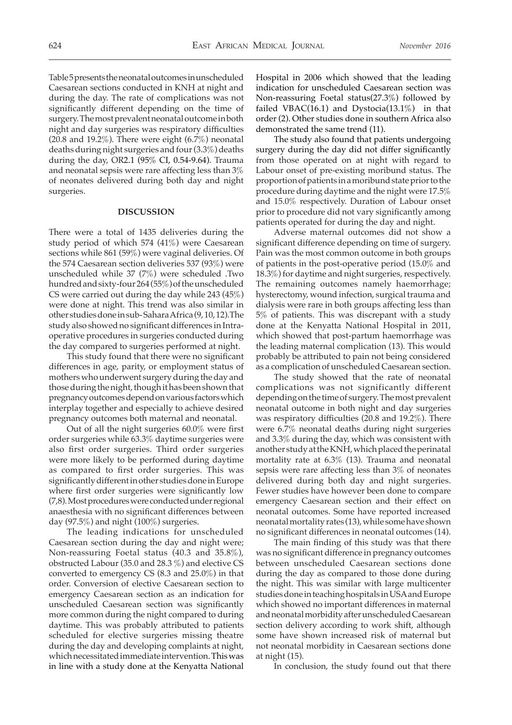Table 5 presents the neonatal outcomes in unscheduled Caesarean sections conducted in KNH at night and during the day. The rate of complications was not significantly different depending on the time of surgery. The most prevalent neonatal outcome in both night and day surgeries was respiratory difficulties (20.8 and 19.2%). There were eight  $(6.7\%)$  neonatal deaths during night surgeries and four (3.3%) deaths during the day, OR2.1 (95% CI, 0.54-9.64). Trauma and neonatal sepsis were rare affecting less than 3% of neonates delivered during both day and night surgeries.

### **DISCUSSION**

There were a total of 1435 deliveries during the study period of which 574 (41%) were Caesarean sections while 861 (59%) were vaginal deliveries. Of the 574 Caesarean section deliveries 537 (93%) were unscheduled while 37 (7%) were scheduled .Two hundred and sixty-four 264 (55%) of the unscheduled CS were carried out during the day while 243 (45%) were done at night. This trend was also similar in other studies done in sub- Sahara Africa (9, 10, 12).The study also showed no significant differences in Intraoperative procedures in surgeries conducted during the day compared to surgeries performed at night.

This study found that there were no significant differences in age, parity, or employment status of mothers who underwent surgery during the day and those during the night, though it has been shown that pregnancy outcomes depend on various factors which interplay together and especially to achieve desired pregnancy outcomes both maternal and neonatal.

Out of all the night surgeries 60.0% were first order surgeries while 63.3% daytime surgeries were also first order surgeries. Third order surgeries were more likely to be performed during daytime as compared to first order surgeries. This was significantly different in other studies done in Europe where first order surgeries were significantly low (7,8). Most procedures were conducted under regional anaesthesia with no significant differences between day (97.5%) and night (100%) surgeries.

The leading indications for unscheduled Caesarean section during the day and night were; Non-reassuring Foetal status (40.3 and 35.8%), obstructed Labour (35.0 and 28.3 %) and elective CS converted to emergency CS (8.3 and 25.0%) in that order. Conversion of elective Caesarean section to emergency Caesarean section as an indication for unscheduled Caesarean section was significantly more common during the night compared to during daytime. This was probably attributed to patients scheduled for elective surgeries missing theatre during the day and developing complaints at night, which necessitated immediate intervention. This was in line with a study done at the Kenyatta National

Hospital in 2006 which showed that the leading indication for unscheduled Caesarean section was Non-reassuring Foetal status(27.3%) followed by failed VBAC(16.1) and Dystocia(13.1%) in that order (2). Other studies done in southern Africa also demonstrated the same trend (11).

The study also found that patients undergoing surgery during the day did not differ significantly from those operated on at night with regard to Labour onset of pre-existing moribund status. The proportion of patients in a moribund state prior to the procedure during daytime and the night were 17.5% and 15.0% respectively. Duration of Labour onset prior to procedure did not vary significantly among patients operated for during the day and night.

Adverse maternal outcomes did not show a significant difference depending on time of surgery. Pain was the most common outcome in both groups of patients in the post-operative period (15.0% and 18.3%) for daytime and night surgeries, respectively. The remaining outcomes namely haemorrhage; hysterectomy, wound infection, surgical trauma and dialysis were rare in both groups affecting less than 5% of patients. This was discrepant with a study done at the Kenyatta National Hospital in 2011, which showed that post-partum haemorrhage was the leading maternal complication (13). This would probably be attributed to pain not being considered as a complication of unscheduled Caesarean section.

The study showed that the rate of neonatal complications was not significantly different depending on the time of surgery. The most prevalent neonatal outcome in both night and day surgeries was respiratory difficulties (20.8 and 19.2%). There were 6.7% neonatal deaths during night surgeries and 3.3% during the day, which was consistent with another study at the KNH, which placed the perinatal mortality rate at 6.3% (13). Trauma and neonatal sepsis were rare affecting less than 3% of neonates delivered during both day and night surgeries. Fewer studies have however been done to compare emergency Caesarean section and their effect on neonatal outcomes. Some have reported increased neonatal mortality rates (13), while some have shown no significant differences in neonatal outcomes (14).

The main finding of this study was that there was no significant difference in pregnancy outcomes between unscheduled Caesarean sections done during the day as compared to those done during the night. This was similar with large multicenter studies done in teaching hospitals in USA and Europe which showed no important differences in maternal and neonatal morbidity after unscheduled Caesarean section delivery according to work shift, although some have shown increased risk of maternal but not neonatal morbidity in Caesarean sections done at night (15).

In conclusion, the study found out that there